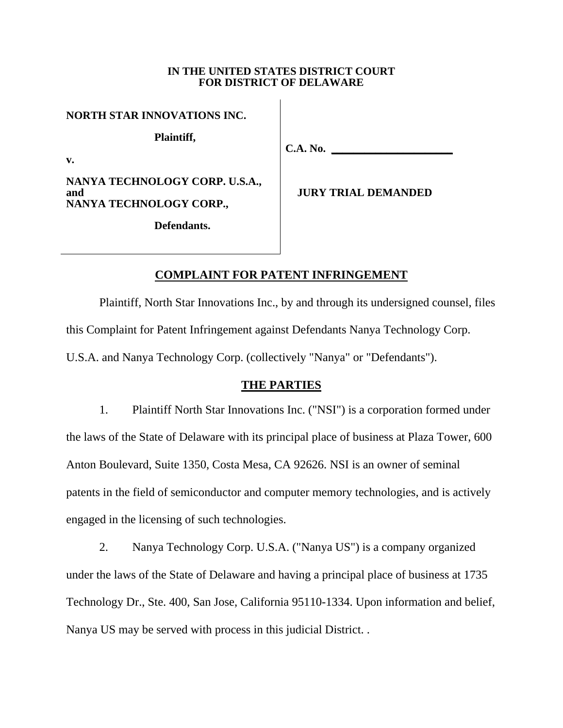### **IN THE UNITED STATES DISTRICT COURT FOR DISTRICT OF DELAWARE**

 $\overline{\phantom{a}}$ 

| NORTH STAR INNOVATIONS INC.                                      |                            |
|------------------------------------------------------------------|----------------------------|
| Plaintiff,<br>v.                                                 | <b>C.A. No.</b>            |
| NANYA TECHNOLOGY CORP. U.S.A.,<br>and<br>NANYA TECHNOLOGY CORP., | <b>JURY TRIAL DEMANDED</b> |
| Defendants.                                                      |                            |
|                                                                  |                            |

# **COMPLAINT FOR PATENT INFRINGEMENT**

Plaintiff, North Star Innovations Inc., by and through its undersigned counsel, files this Complaint for Patent Infringement against Defendants Nanya Technology Corp. U.S.A. and Nanya Technology Corp. (collectively "Nanya" or "Defendants").

# **THE PARTIES**

1. Plaintiff North Star Innovations Inc. ("NSI") is a corporation formed under the laws of the State of Delaware with its principal place of business at Plaza Tower, 600 Anton Boulevard, Suite 1350, Costa Mesa, CA 92626. NSI is an owner of seminal patents in the field of semiconductor and computer memory technologies, and is actively engaged in the licensing of such technologies.

2. Nanya Technology Corp. U.S.A. ("Nanya US") is a company organized under the laws of the State of Delaware and having a principal place of business at 1735 Technology Dr., Ste. 400, San Jose, California 95110-1334. Upon information and belief, Nanya US may be served with process in this judicial District. .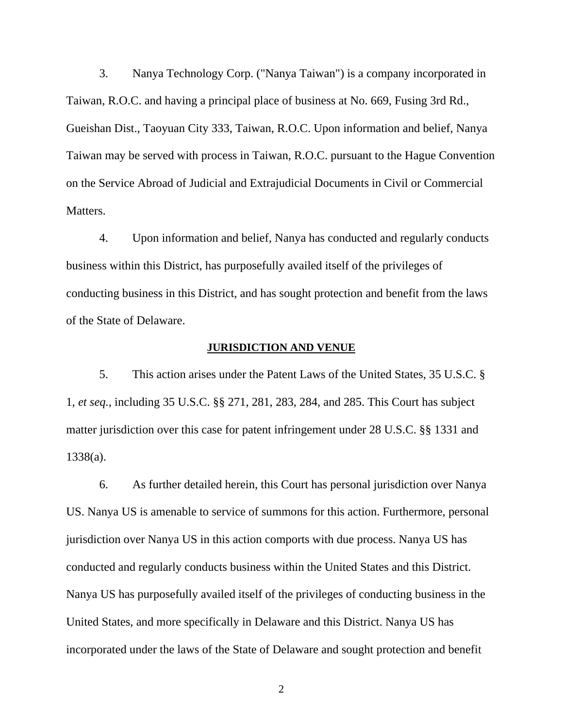3. Nanya Technology Corp. ("Nanya Taiwan") is a company incorporated in Taiwan, R.O.C. and having a principal place of business at No. 669, Fusing 3rd Rd., Gueishan Dist., Taoyuan City 333, Taiwan, R.O.C. Upon information and belief, Nanya Taiwan may be served with process in Taiwan, R.O.C. pursuant to the Hague Convention on the Service Abroad of Judicial and Extrajudicial Documents in Civil or Commercial Matters.

4. Upon information and belief, Nanya has conducted and regularly conducts business within this District, has purposefully availed itself of the privileges of conducting business in this District, and has sought protection and benefit from the laws of the State of Delaware.

### **JURISDICTION AND VENUE**

5. This action arises under the Patent Laws of the United States, 35 U.S.C. § 1, *et seq.*, including 35 U.S.C. §§ 271, 281, 283, 284, and 285. This Court has subject matter jurisdiction over this case for patent infringement under 28 U.S.C. §§ 1331 and 1338(a).

6. As further detailed herein, this Court has personal jurisdiction over Nanya US. Nanya US is amenable to service of summons for this action. Furthermore, personal jurisdiction over Nanya US in this action comports with due process. Nanya US has conducted and regularly conducts business within the United States and this District. Nanya US has purposefully availed itself of the privileges of conducting business in the United States, and more specifically in Delaware and this District. Nanya US has incorporated under the laws of the State of Delaware and sought protection and benefit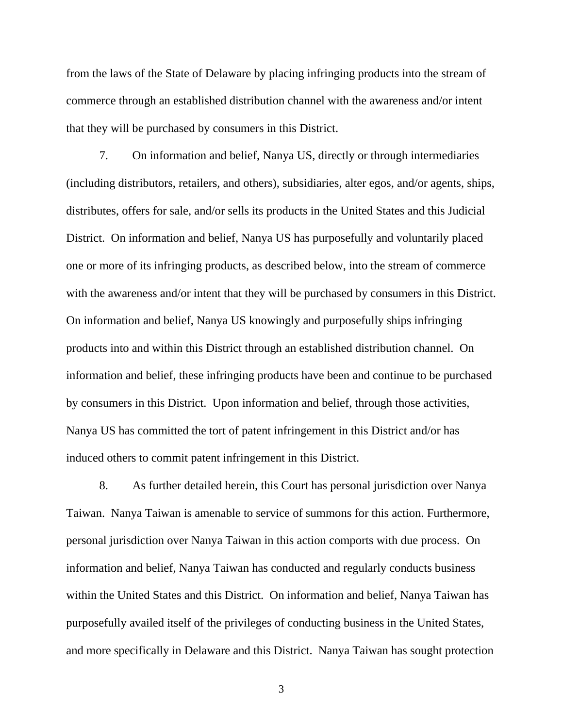from the laws of the State of Delaware by placing infringing products into the stream of commerce through an established distribution channel with the awareness and/or intent that they will be purchased by consumers in this District.

7. On information and belief, Nanya US, directly or through intermediaries (including distributors, retailers, and others), subsidiaries, alter egos, and/or agents, ships, distributes, offers for sale, and/or sells its products in the United States and this Judicial District. On information and belief, Nanya US has purposefully and voluntarily placed one or more of its infringing products, as described below, into the stream of commerce with the awareness and/or intent that they will be purchased by consumers in this District. On information and belief, Nanya US knowingly and purposefully ships infringing products into and within this District through an established distribution channel. On information and belief, these infringing products have been and continue to be purchased by consumers in this District. Upon information and belief, through those activities, Nanya US has committed the tort of patent infringement in this District and/or has induced others to commit patent infringement in this District.

8. As further detailed herein, this Court has personal jurisdiction over Nanya Taiwan. Nanya Taiwan is amenable to service of summons for this action. Furthermore, personal jurisdiction over Nanya Taiwan in this action comports with due process. On information and belief, Nanya Taiwan has conducted and regularly conducts business within the United States and this District. On information and belief, Nanya Taiwan has purposefully availed itself of the privileges of conducting business in the United States, and more specifically in Delaware and this District. Nanya Taiwan has sought protection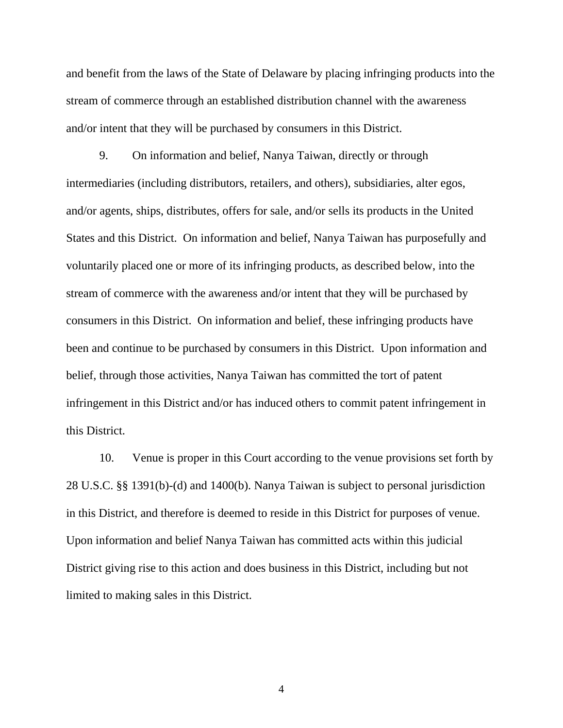and benefit from the laws of the State of Delaware by placing infringing products into the stream of commerce through an established distribution channel with the awareness and/or intent that they will be purchased by consumers in this District.

9. On information and belief, Nanya Taiwan, directly or through intermediaries (including distributors, retailers, and others), subsidiaries, alter egos, and/or agents, ships, distributes, offers for sale, and/or sells its products in the United States and this District. On information and belief, Nanya Taiwan has purposefully and voluntarily placed one or more of its infringing products, as described below, into the stream of commerce with the awareness and/or intent that they will be purchased by consumers in this District. On information and belief, these infringing products have been and continue to be purchased by consumers in this District. Upon information and belief, through those activities, Nanya Taiwan has committed the tort of patent infringement in this District and/or has induced others to commit patent infringement in this District.

10. Venue is proper in this Court according to the venue provisions set forth by 28 U.S.C. §§ 1391(b)-(d) and 1400(b). Nanya Taiwan is subject to personal jurisdiction in this District, and therefore is deemed to reside in this District for purposes of venue. Upon information and belief Nanya Taiwan has committed acts within this judicial District giving rise to this action and does business in this District, including but not limited to making sales in this District.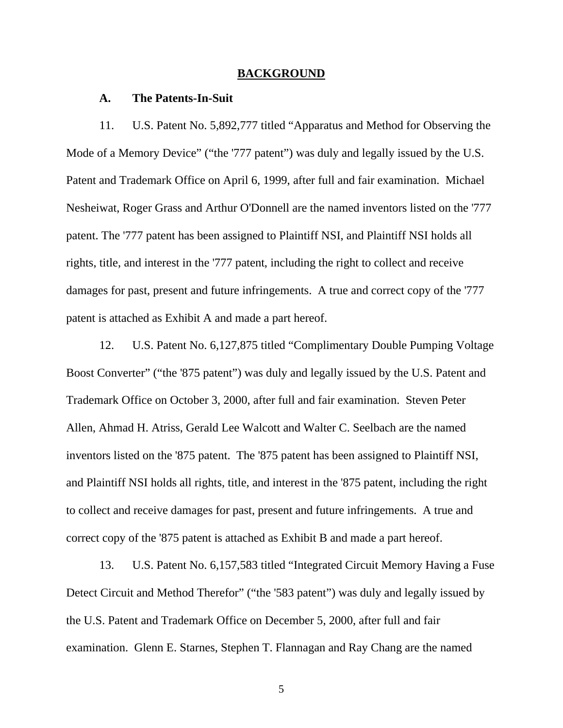#### **BACKGROUND**

## **A. The Patents-In-Suit**

11. U.S. Patent No. 5,892,777 titled "Apparatus and Method for Observing the Mode of a Memory Device" ("the '777 patent") was duly and legally issued by the U.S. Patent and Trademark Office on April 6, 1999, after full and fair examination. Michael Nesheiwat, Roger Grass and Arthur O'Donnell are the named inventors listed on the '777 patent. The '777 patent has been assigned to Plaintiff NSI, and Plaintiff NSI holds all rights, title, and interest in the '777 patent, including the right to collect and receive damages for past, present and future infringements. A true and correct copy of the '777 patent is attached as Exhibit A and made a part hereof.

12. U.S. Patent No. 6,127,875 titled "Complimentary Double Pumping Voltage Boost Converter" ("the '875 patent") was duly and legally issued by the U.S. Patent and Trademark Office on October 3, 2000, after full and fair examination. Steven Peter Allen, Ahmad H. Atriss, Gerald Lee Walcott and Walter C. Seelbach are the named inventors listed on the '875 patent. The '875 patent has been assigned to Plaintiff NSI, and Plaintiff NSI holds all rights, title, and interest in the '875 patent, including the right to collect and receive damages for past, present and future infringements. A true and correct copy of the '875 patent is attached as Exhibit B and made a part hereof.

13. U.S. Patent No. 6,157,583 titled "Integrated Circuit Memory Having a Fuse Detect Circuit and Method Therefor" ("the '583 patent") was duly and legally issued by the U.S. Patent and Trademark Office on December 5, 2000, after full and fair examination. Glenn E. Starnes, Stephen T. Flannagan and Ray Chang are the named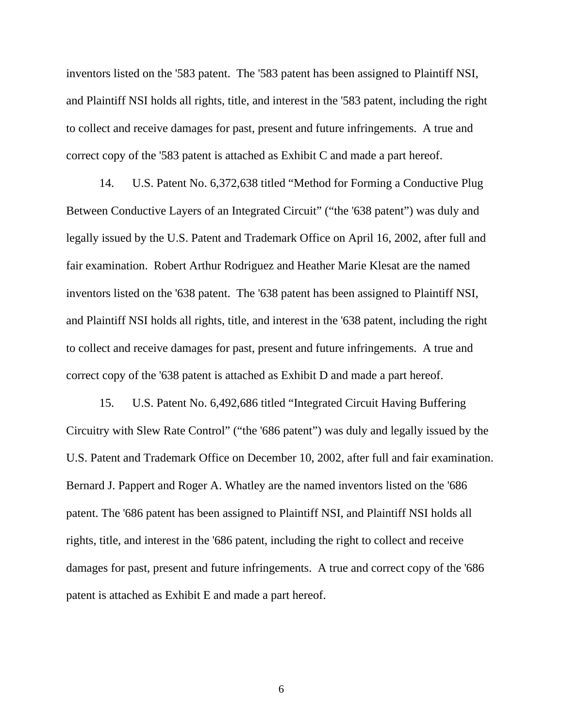inventors listed on the '583 patent. The '583 patent has been assigned to Plaintiff NSI, and Plaintiff NSI holds all rights, title, and interest in the '583 patent, including the right to collect and receive damages for past, present and future infringements. A true and correct copy of the '583 patent is attached as Exhibit C and made a part hereof.

14. U.S. Patent No. 6,372,638 titled "Method for Forming a Conductive Plug Between Conductive Layers of an Integrated Circuit" ("the '638 patent") was duly and legally issued by the U.S. Patent and Trademark Office on April 16, 2002, after full and fair examination. Robert Arthur Rodriguez and Heather Marie Klesat are the named inventors listed on the '638 patent. The '638 patent has been assigned to Plaintiff NSI, and Plaintiff NSI holds all rights, title, and interest in the '638 patent, including the right to collect and receive damages for past, present and future infringements. A true and correct copy of the '638 patent is attached as Exhibit D and made a part hereof.

15. U.S. Patent No. 6,492,686 titled "Integrated Circuit Having Buffering Circuitry with Slew Rate Control" ("the '686 patent") was duly and legally issued by the U.S. Patent and Trademark Office on December 10, 2002, after full and fair examination. Bernard J. Pappert and Roger A. Whatley are the named inventors listed on the '686 patent. The '686 patent has been assigned to Plaintiff NSI, and Plaintiff NSI holds all rights, title, and interest in the '686 patent, including the right to collect and receive damages for past, present and future infringements. A true and correct copy of the '686 patent is attached as Exhibit E and made a part hereof.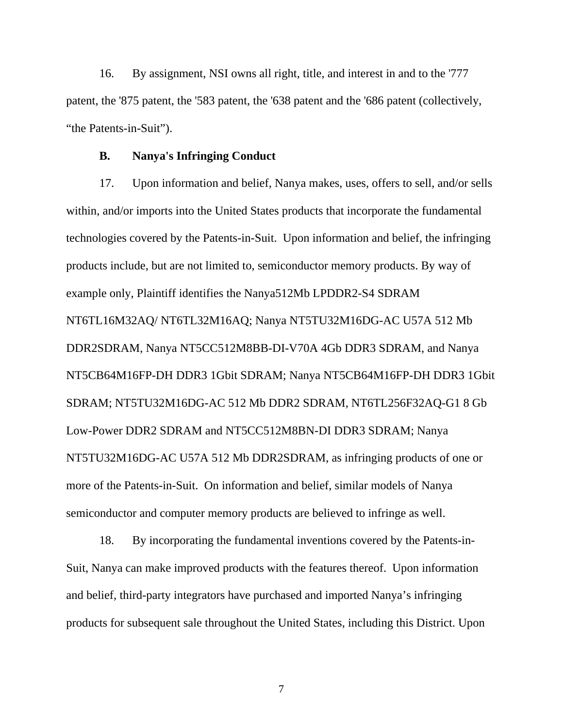16. By assignment, NSI owns all right, title, and interest in and to the '777 patent, the '875 patent, the '583 patent, the '638 patent and the '686 patent (collectively, "the Patents-in-Suit").

## **B. Nanya's Infringing Conduct**

17. Upon information and belief, Nanya makes, uses, offers to sell, and/or sells within, and/or imports into the United States products that incorporate the fundamental technologies covered by the Patents-in-Suit. Upon information and belief, the infringing products include, but are not limited to, semiconductor memory products. By way of example only, Plaintiff identifies the Nanya512Mb LPDDR2-S4 SDRAM NT6TL16M32AQ/ NT6TL32M16AQ; Nanya NT5TU32M16DG-AC U57A 512 Mb DDR2SDRAM, Nanya NT5CC512M8BB-DI-V70A 4Gb DDR3 SDRAM, and Nanya NT5CB64M16FP-DH DDR3 1Gbit SDRAM; Nanya NT5CB64M16FP-DH DDR3 1Gbit SDRAM; NT5TU32M16DG-AC 512 Mb DDR2 SDRAM, NT6TL256F32AQ-G1 8 Gb Low-Power DDR2 SDRAM and NT5CC512M8BN-DI DDR3 SDRAM; Nanya NT5TU32M16DG-AC U57A 512 Mb DDR2SDRAM, as infringing products of one or more of the Patents-in-Suit. On information and belief, similar models of Nanya semiconductor and computer memory products are believed to infringe as well.

18. By incorporating the fundamental inventions covered by the Patents-in-Suit, Nanya can make improved products with the features thereof. Upon information and belief, third-party integrators have purchased and imported Nanya's infringing products for subsequent sale throughout the United States, including this District. Upon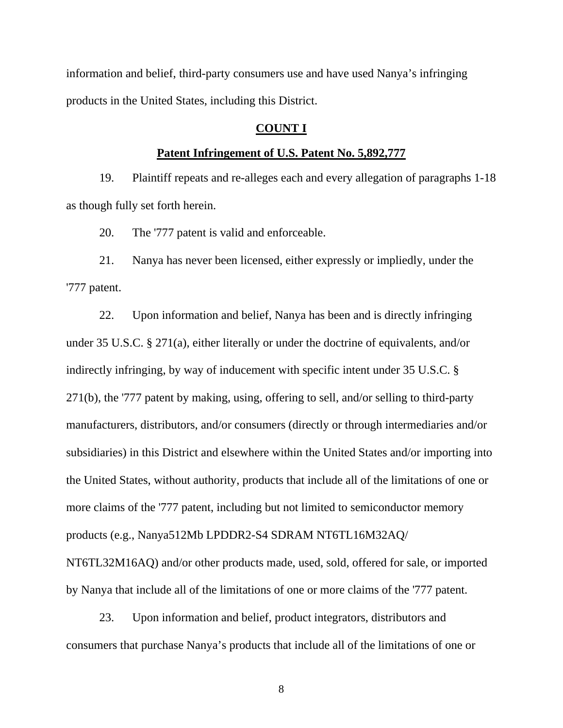information and belief, third-party consumers use and have used Nanya's infringing products in the United States, including this District.

# **COUNT I**

## **Patent Infringement of U.S. Patent No. 5,892,777**

19. Plaintiff repeats and re-alleges each and every allegation of paragraphs 1-18 as though fully set forth herein.

20. The '777 patent is valid and enforceable.

21. Nanya has never been licensed, either expressly or impliedly, under the '777 patent.

22. Upon information and belief, Nanya has been and is directly infringing under 35 U.S.C. § 271(a), either literally or under the doctrine of equivalents, and/or indirectly infringing, by way of inducement with specific intent under 35 U.S.C. § 271(b), the '777 patent by making, using, offering to sell, and/or selling to third-party manufacturers, distributors, and/or consumers (directly or through intermediaries and/or subsidiaries) in this District and elsewhere within the United States and/or importing into the United States, without authority, products that include all of the limitations of one or more claims of the '777 patent, including but not limited to semiconductor memory products (e.g., Nanya512Mb LPDDR2-S4 SDRAM NT6TL16M32AQ/

NT6TL32M16AQ) and/or other products made, used, sold, offered for sale, or imported by Nanya that include all of the limitations of one or more claims of the '777 patent.

23. Upon information and belief, product integrators, distributors and consumers that purchase Nanya's products that include all of the limitations of one or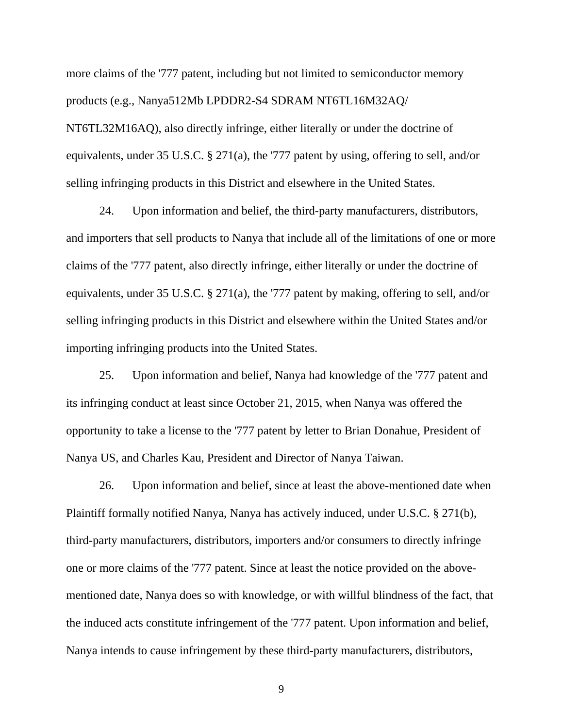more claims of the '777 patent, including but not limited to semiconductor memory products (e.g., Nanya512Mb LPDDR2-S4 SDRAM NT6TL16M32AQ/ NT6TL32M16AQ), also directly infringe, either literally or under the doctrine of equivalents, under 35 U.S.C. § 271(a), the '777 patent by using, offering to sell, and/or selling infringing products in this District and elsewhere in the United States.

24. Upon information and belief, the third-party manufacturers, distributors, and importers that sell products to Nanya that include all of the limitations of one or more claims of the '777 patent, also directly infringe, either literally or under the doctrine of equivalents, under 35 U.S.C. § 271(a), the '777 patent by making, offering to sell, and/or selling infringing products in this District and elsewhere within the United States and/or importing infringing products into the United States.

25. Upon information and belief, Nanya had knowledge of the '777 patent and its infringing conduct at least since October 21, 2015, when Nanya was offered the opportunity to take a license to the '777 patent by letter to Brian Donahue, President of Nanya US, and Charles Kau, President and Director of Nanya Taiwan.

26. Upon information and belief, since at least the above-mentioned date when Plaintiff formally notified Nanya, Nanya has actively induced, under U.S.C. § 271(b), third-party manufacturers, distributors, importers and/or consumers to directly infringe one or more claims of the '777 patent. Since at least the notice provided on the abovementioned date, Nanya does so with knowledge, or with willful blindness of the fact, that the induced acts constitute infringement of the '777 patent. Upon information and belief, Nanya intends to cause infringement by these third-party manufacturers, distributors,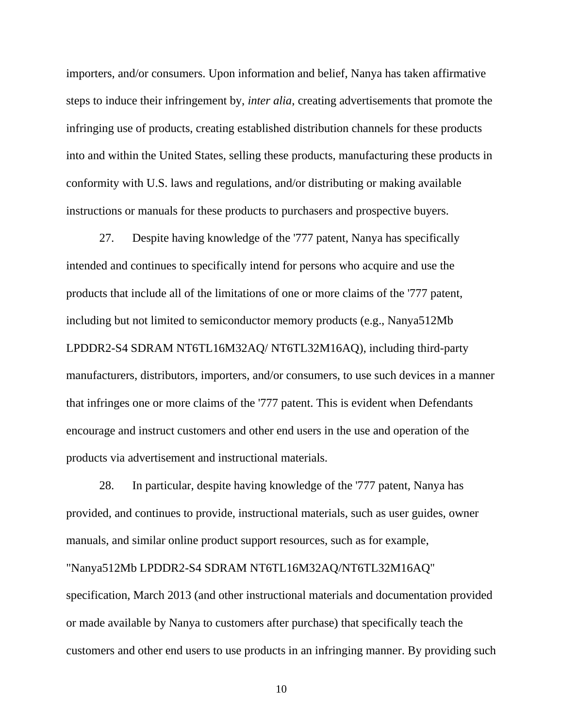importers, and/or consumers. Upon information and belief, Nanya has taken affirmative steps to induce their infringement by, *inter alia*, creating advertisements that promote the infringing use of products, creating established distribution channels for these products into and within the United States, selling these products, manufacturing these products in conformity with U.S. laws and regulations, and/or distributing or making available instructions or manuals for these products to purchasers and prospective buyers.

27. Despite having knowledge of the '777 patent, Nanya has specifically intended and continues to specifically intend for persons who acquire and use the products that include all of the limitations of one or more claims of the '777 patent, including but not limited to semiconductor memory products (e.g., Nanya512Mb LPDDR2-S4 SDRAM NT6TL16M32AQ/ NT6TL32M16AQ), including third-party manufacturers, distributors, importers, and/or consumers, to use such devices in a manner that infringes one or more claims of the '777 patent. This is evident when Defendants encourage and instruct customers and other end users in the use and operation of the products via advertisement and instructional materials.

28. In particular, despite having knowledge of the '777 patent, Nanya has provided, and continues to provide, instructional materials, such as user guides, owner manuals, and similar online product support resources, such as for example, "Nanya512Mb LPDDR2-S4 SDRAM NT6TL16M32AQ/NT6TL32M16AQ" specification, March 2013 (and other instructional materials and documentation provided or made available by Nanya to customers after purchase) that specifically teach the customers and other end users to use products in an infringing manner. By providing such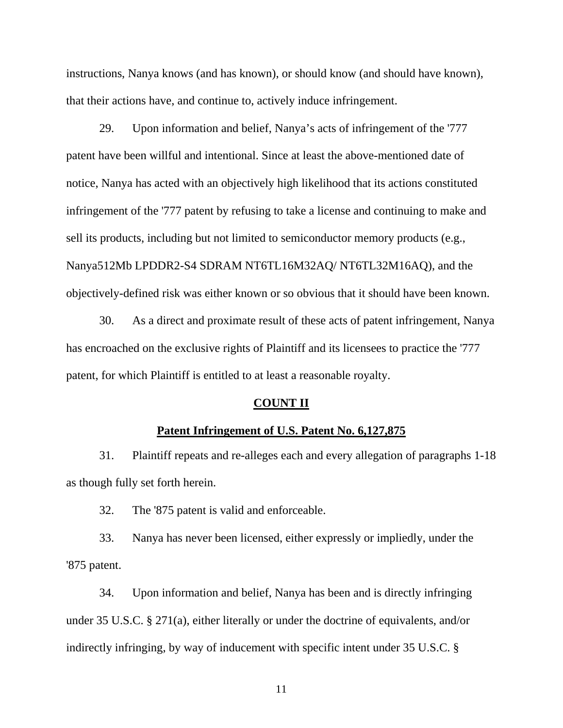instructions, Nanya knows (and has known), or should know (and should have known), that their actions have, and continue to, actively induce infringement.

29. Upon information and belief, Nanya's acts of infringement of the '777 patent have been willful and intentional. Since at least the above-mentioned date of notice, Nanya has acted with an objectively high likelihood that its actions constituted infringement of the '777 patent by refusing to take a license and continuing to make and sell its products, including but not limited to semiconductor memory products (e.g., Nanya512Mb LPDDR2-S4 SDRAM NT6TL16M32AQ/ NT6TL32M16AQ), and the objectively-defined risk was either known or so obvious that it should have been known.

30. As a direct and proximate result of these acts of patent infringement, Nanya has encroached on the exclusive rights of Plaintiff and its licensees to practice the '777 patent, for which Plaintiff is entitled to at least a reasonable royalty.

### **COUNT II**

## **Patent Infringement of U.S. Patent No. 6,127,875**

31. Plaintiff repeats and re-alleges each and every allegation of paragraphs 1-18 as though fully set forth herein.

32. The '875 patent is valid and enforceable.

33. Nanya has never been licensed, either expressly or impliedly, under the '875 patent.

34. Upon information and belief, Nanya has been and is directly infringing under 35 U.S.C. § 271(a), either literally or under the doctrine of equivalents, and/or indirectly infringing, by way of inducement with specific intent under 35 U.S.C. §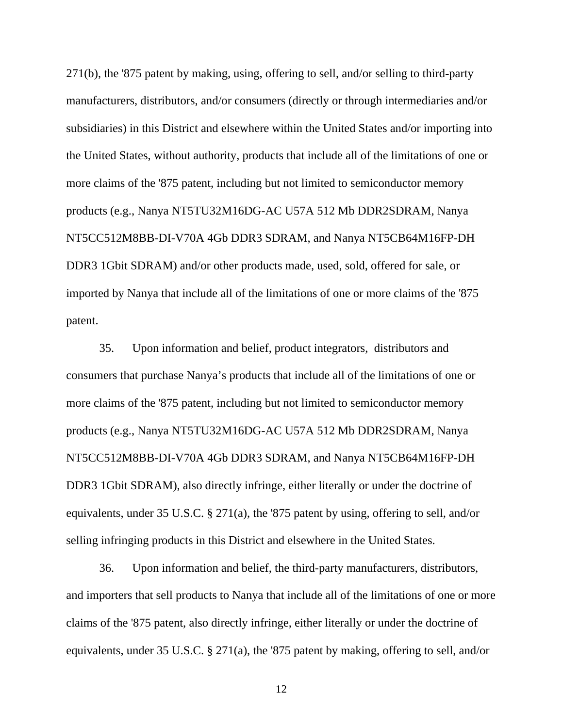271(b), the '875 patent by making, using, offering to sell, and/or selling to third-party manufacturers, distributors, and/or consumers (directly or through intermediaries and/or subsidiaries) in this District and elsewhere within the United States and/or importing into the United States, without authority, products that include all of the limitations of one or more claims of the '875 patent, including but not limited to semiconductor memory products (e.g., Nanya NT5TU32M16DG-AC U57A 512 Mb DDR2SDRAM, Nanya NT5CC512M8BB-DI-V70A 4Gb DDR3 SDRAM, and Nanya NT5CB64M16FP-DH DDR3 1Gbit SDRAM) and/or other products made, used, sold, offered for sale, or imported by Nanya that include all of the limitations of one or more claims of the '875 patent.

35. Upon information and belief, product integrators, distributors and consumers that purchase Nanya's products that include all of the limitations of one or more claims of the '875 patent, including but not limited to semiconductor memory products (e.g., Nanya NT5TU32M16DG-AC U57A 512 Mb DDR2SDRAM, Nanya NT5CC512M8BB-DI-V70A 4Gb DDR3 SDRAM, and Nanya NT5CB64M16FP-DH DDR3 1Gbit SDRAM), also directly infringe, either literally or under the doctrine of equivalents, under 35 U.S.C. § 271(a), the '875 patent by using, offering to sell, and/or selling infringing products in this District and elsewhere in the United States.

36. Upon information and belief, the third-party manufacturers, distributors, and importers that sell products to Nanya that include all of the limitations of one or more claims of the '875 patent, also directly infringe, either literally or under the doctrine of equivalents, under 35 U.S.C. § 271(a), the '875 patent by making, offering to sell, and/or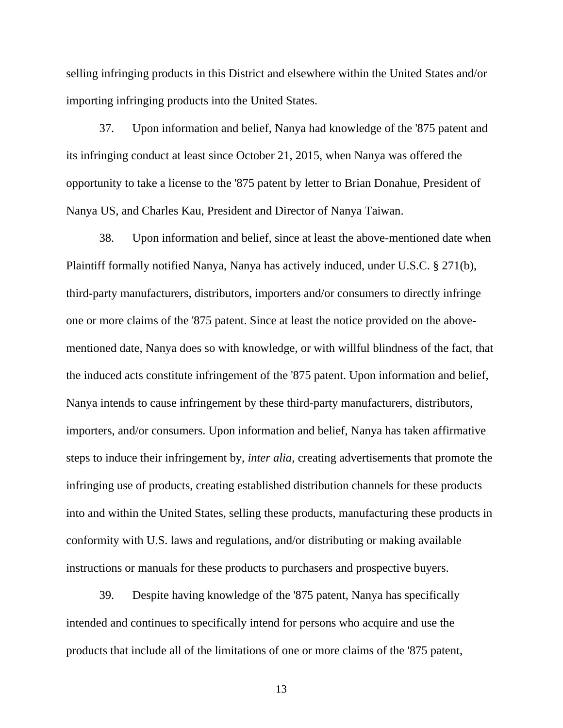selling infringing products in this District and elsewhere within the United States and/or importing infringing products into the United States.

37. Upon information and belief, Nanya had knowledge of the '875 patent and its infringing conduct at least since October 21, 2015, when Nanya was offered the opportunity to take a license to the '875 patent by letter to Brian Donahue, President of Nanya US, and Charles Kau, President and Director of Nanya Taiwan.

38. Upon information and belief, since at least the above-mentioned date when Plaintiff formally notified Nanya, Nanya has actively induced, under U.S.C. § 271(b), third-party manufacturers, distributors, importers and/or consumers to directly infringe one or more claims of the '875 patent. Since at least the notice provided on the abovementioned date, Nanya does so with knowledge, or with willful blindness of the fact, that the induced acts constitute infringement of the '875 patent. Upon information and belief, Nanya intends to cause infringement by these third-party manufacturers, distributors, importers, and/or consumers. Upon information and belief, Nanya has taken affirmative steps to induce their infringement by, *inter alia*, creating advertisements that promote the infringing use of products, creating established distribution channels for these products into and within the United States, selling these products, manufacturing these products in conformity with U.S. laws and regulations, and/or distributing or making available instructions or manuals for these products to purchasers and prospective buyers.

39. Despite having knowledge of the '875 patent, Nanya has specifically intended and continues to specifically intend for persons who acquire and use the products that include all of the limitations of one or more claims of the '875 patent,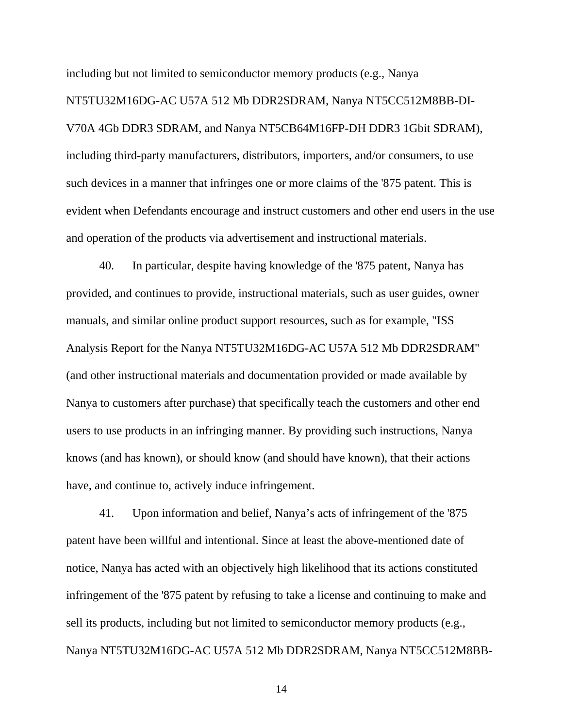including but not limited to semiconductor memory products (e.g., Nanya NT5TU32M16DG-AC U57A 512 Mb DDR2SDRAM, Nanya NT5CC512M8BB-DI-V70A 4Gb DDR3 SDRAM, and Nanya NT5CB64M16FP-DH DDR3 1Gbit SDRAM), including third-party manufacturers, distributors, importers, and/or consumers, to use such devices in a manner that infringes one or more claims of the '875 patent. This is evident when Defendants encourage and instruct customers and other end users in the use and operation of the products via advertisement and instructional materials.

40. In particular, despite having knowledge of the '875 patent, Nanya has provided, and continues to provide, instructional materials, such as user guides, owner manuals, and similar online product support resources, such as for example, "ISS Analysis Report for the Nanya NT5TU32M16DG-AC U57A 512 Mb DDR2SDRAM" (and other instructional materials and documentation provided or made available by Nanya to customers after purchase) that specifically teach the customers and other end users to use products in an infringing manner. By providing such instructions, Nanya knows (and has known), or should know (and should have known), that their actions have, and continue to, actively induce infringement.

41. Upon information and belief, Nanya's acts of infringement of the '875 patent have been willful and intentional. Since at least the above-mentioned date of notice, Nanya has acted with an objectively high likelihood that its actions constituted infringement of the '875 patent by refusing to take a license and continuing to make and sell its products, including but not limited to semiconductor memory products (e.g., Nanya NT5TU32M16DG-AC U57A 512 Mb DDR2SDRAM, Nanya NT5CC512M8BB-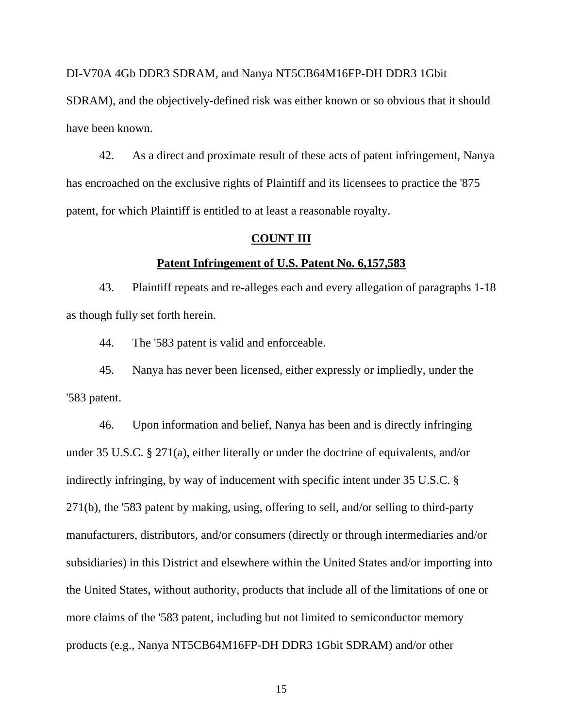DI-V70A 4Gb DDR3 SDRAM, and Nanya NT5CB64M16FP-DH DDR3 1Gbit SDRAM), and the objectively-defined risk was either known or so obvious that it should have been known.

42. As a direct and proximate result of these acts of patent infringement, Nanya has encroached on the exclusive rights of Plaintiff and its licensees to practice the '875 patent, for which Plaintiff is entitled to at least a reasonable royalty.

## **COUNT III**

### **Patent Infringement of U.S. Patent No. 6,157,583**

43. Plaintiff repeats and re-alleges each and every allegation of paragraphs 1-18 as though fully set forth herein.

44. The '583 patent is valid and enforceable.

45. Nanya has never been licensed, either expressly or impliedly, under the '583 patent.

46. Upon information and belief, Nanya has been and is directly infringing under 35 U.S.C. § 271(a), either literally or under the doctrine of equivalents, and/or indirectly infringing, by way of inducement with specific intent under 35 U.S.C. § 271(b), the '583 patent by making, using, offering to sell, and/or selling to third-party manufacturers, distributors, and/or consumers (directly or through intermediaries and/or subsidiaries) in this District and elsewhere within the United States and/or importing into the United States, without authority, products that include all of the limitations of one or more claims of the '583 patent, including but not limited to semiconductor memory products (e.g., Nanya NT5CB64M16FP-DH DDR3 1Gbit SDRAM) and/or other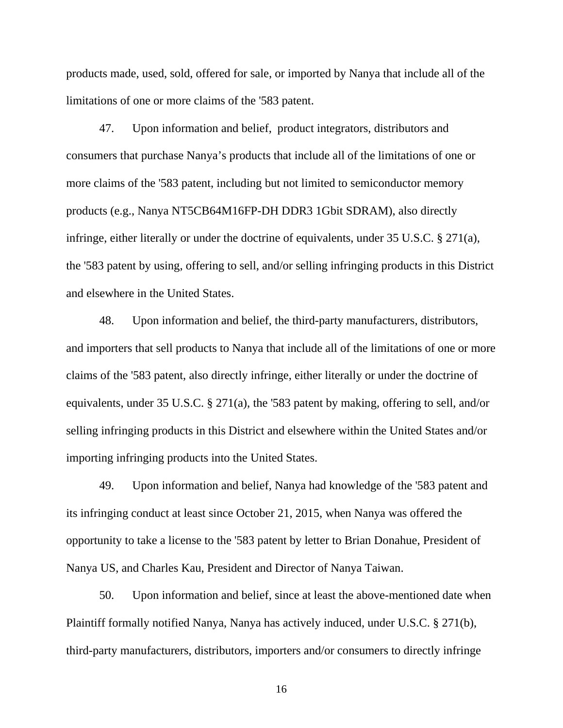products made, used, sold, offered for sale, or imported by Nanya that include all of the limitations of one or more claims of the '583 patent.

47. Upon information and belief, product integrators, distributors and consumers that purchase Nanya's products that include all of the limitations of one or more claims of the '583 patent, including but not limited to semiconductor memory products (e.g., Nanya NT5CB64M16FP-DH DDR3 1Gbit SDRAM), also directly infringe, either literally or under the doctrine of equivalents, under 35 U.S.C. § 271(a), the '583 patent by using, offering to sell, and/or selling infringing products in this District and elsewhere in the United States.

48. Upon information and belief, the third-party manufacturers, distributors, and importers that sell products to Nanya that include all of the limitations of one or more claims of the '583 patent, also directly infringe, either literally or under the doctrine of equivalents, under 35 U.S.C. § 271(a), the '583 patent by making, offering to sell, and/or selling infringing products in this District and elsewhere within the United States and/or importing infringing products into the United States.

49. Upon information and belief, Nanya had knowledge of the '583 patent and its infringing conduct at least since October 21, 2015, when Nanya was offered the opportunity to take a license to the '583 patent by letter to Brian Donahue, President of Nanya US, and Charles Kau, President and Director of Nanya Taiwan.

50. Upon information and belief, since at least the above-mentioned date when Plaintiff formally notified Nanya, Nanya has actively induced, under U.S.C. § 271(b), third-party manufacturers, distributors, importers and/or consumers to directly infringe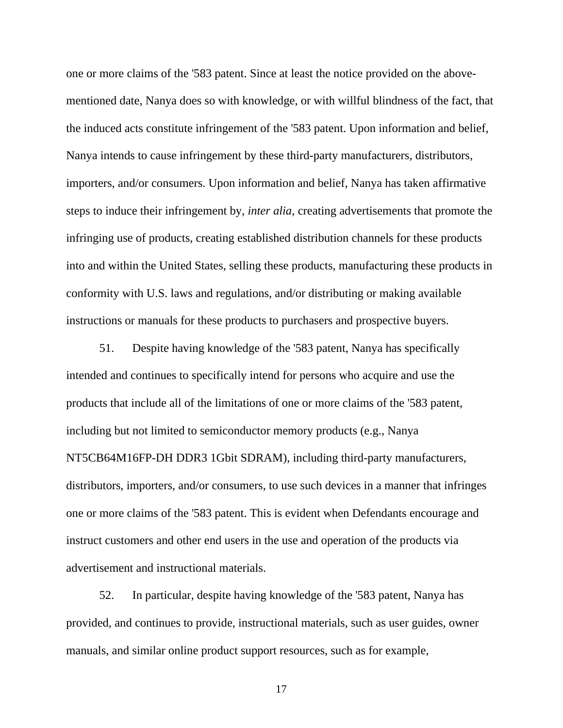one or more claims of the '583 patent. Since at least the notice provided on the abovementioned date, Nanya does so with knowledge, or with willful blindness of the fact, that the induced acts constitute infringement of the '583 patent. Upon information and belief, Nanya intends to cause infringement by these third-party manufacturers, distributors, importers, and/or consumers. Upon information and belief, Nanya has taken affirmative steps to induce their infringement by, *inter alia*, creating advertisements that promote the infringing use of products, creating established distribution channels for these products into and within the United States, selling these products, manufacturing these products in conformity with U.S. laws and regulations, and/or distributing or making available instructions or manuals for these products to purchasers and prospective buyers.

51. Despite having knowledge of the '583 patent, Nanya has specifically intended and continues to specifically intend for persons who acquire and use the products that include all of the limitations of one or more claims of the '583 patent, including but not limited to semiconductor memory products (e.g., Nanya NT5CB64M16FP-DH DDR3 1Gbit SDRAM), including third-party manufacturers, distributors, importers, and/or consumers, to use such devices in a manner that infringes one or more claims of the '583 patent. This is evident when Defendants encourage and instruct customers and other end users in the use and operation of the products via advertisement and instructional materials.

52. In particular, despite having knowledge of the '583 patent, Nanya has provided, and continues to provide, instructional materials, such as user guides, owner manuals, and similar online product support resources, such as for example,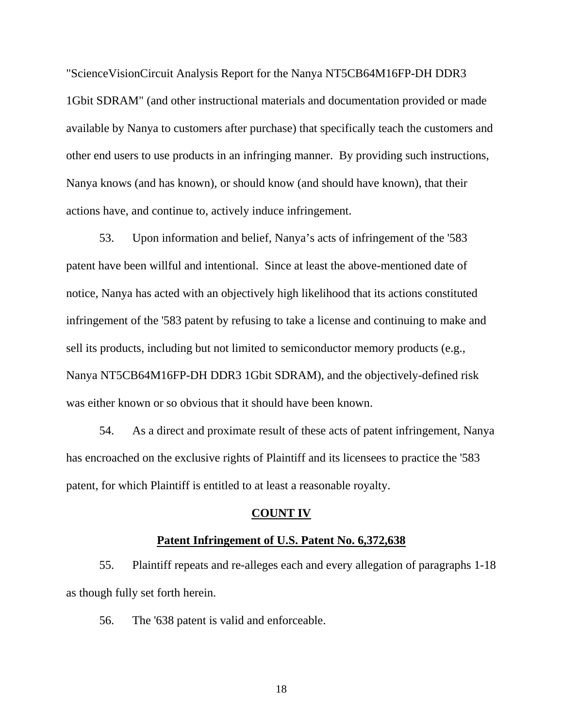"ScienceVisionCircuit Analysis Report for the Nanya NT5CB64M16FP-DH DDR3 1Gbit SDRAM" (and other instructional materials and documentation provided or made available by Nanya to customers after purchase) that specifically teach the customers and other end users to use products in an infringing manner. By providing such instructions, Nanya knows (and has known), or should know (and should have known), that their actions have, and continue to, actively induce infringement.

53. Upon information and belief, Nanya's acts of infringement of the '583 patent have been willful and intentional. Since at least the above-mentioned date of notice, Nanya has acted with an objectively high likelihood that its actions constituted infringement of the '583 patent by refusing to take a license and continuing to make and sell its products, including but not limited to semiconductor memory products (e.g., Nanya NT5CB64M16FP-DH DDR3 1Gbit SDRAM), and the objectively-defined risk was either known or so obvious that it should have been known.

54. As a direct and proximate result of these acts of patent infringement, Nanya has encroached on the exclusive rights of Plaintiff and its licensees to practice the '583 patent, for which Plaintiff is entitled to at least a reasonable royalty.

### **COUNT IV**

### **Patent Infringement of U.S. Patent No. 6,372,638**

55. Plaintiff repeats and re-alleges each and every allegation of paragraphs 1-18 as though fully set forth herein.

56. The '638 patent is valid and enforceable.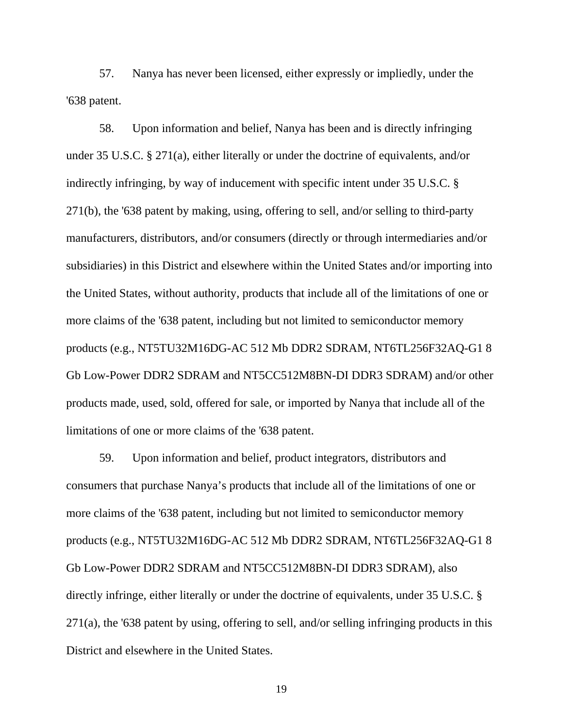57. Nanya has never been licensed, either expressly or impliedly, under the '638 patent.

58. Upon information and belief, Nanya has been and is directly infringing under 35 U.S.C. § 271(a), either literally or under the doctrine of equivalents, and/or indirectly infringing, by way of inducement with specific intent under 35 U.S.C. § 271(b), the '638 patent by making, using, offering to sell, and/or selling to third-party manufacturers, distributors, and/or consumers (directly or through intermediaries and/or subsidiaries) in this District and elsewhere within the United States and/or importing into the United States, without authority, products that include all of the limitations of one or more claims of the '638 patent, including but not limited to semiconductor memory products (e.g., NT5TU32M16DG-AC 512 Mb DDR2 SDRAM, NT6TL256F32AQ-G1 8 Gb Low-Power DDR2 SDRAM and NT5CC512M8BN-DI DDR3 SDRAM) and/or other products made, used, sold, offered for sale, or imported by Nanya that include all of the limitations of one or more claims of the '638 patent.

59. Upon information and belief, product integrators, distributors and consumers that purchase Nanya's products that include all of the limitations of one or more claims of the '638 patent, including but not limited to semiconductor memory products (e.g., NT5TU32M16DG-AC 512 Mb DDR2 SDRAM, NT6TL256F32AQ-G1 8 Gb Low-Power DDR2 SDRAM and NT5CC512M8BN-DI DDR3 SDRAM), also directly infringe, either literally or under the doctrine of equivalents, under 35 U.S.C. § 271(a), the '638 patent by using, offering to sell, and/or selling infringing products in this District and elsewhere in the United States.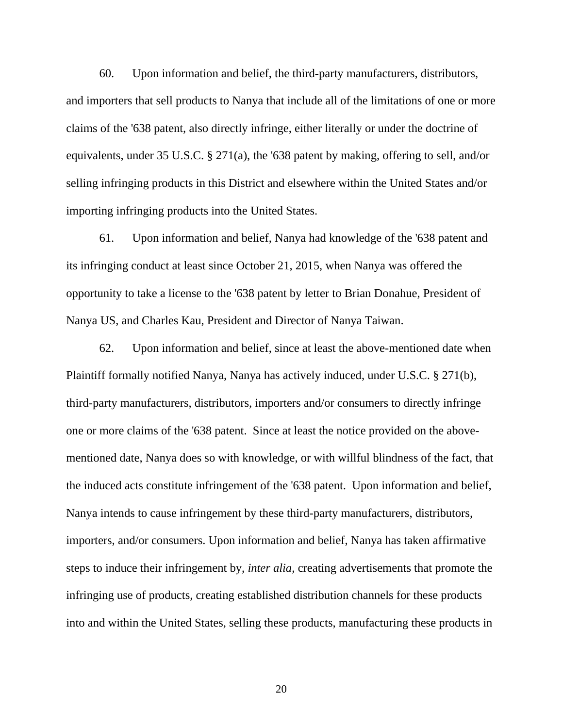60. Upon information and belief, the third-party manufacturers, distributors, and importers that sell products to Nanya that include all of the limitations of one or more claims of the '638 patent, also directly infringe, either literally or under the doctrine of equivalents, under 35 U.S.C. § 271(a), the '638 patent by making, offering to sell, and/or selling infringing products in this District and elsewhere within the United States and/or importing infringing products into the United States.

61. Upon information and belief, Nanya had knowledge of the '638 patent and its infringing conduct at least since October 21, 2015, when Nanya was offered the opportunity to take a license to the '638 patent by letter to Brian Donahue, President of Nanya US, and Charles Kau, President and Director of Nanya Taiwan.

62. Upon information and belief, since at least the above-mentioned date when Plaintiff formally notified Nanya, Nanya has actively induced, under U.S.C. § 271(b), third-party manufacturers, distributors, importers and/or consumers to directly infringe one or more claims of the '638 patent. Since at least the notice provided on the abovementioned date, Nanya does so with knowledge, or with willful blindness of the fact, that the induced acts constitute infringement of the '638 patent. Upon information and belief, Nanya intends to cause infringement by these third-party manufacturers, distributors, importers, and/or consumers. Upon information and belief, Nanya has taken affirmative steps to induce their infringement by, *inter alia*, creating advertisements that promote the infringing use of products, creating established distribution channels for these products into and within the United States, selling these products, manufacturing these products in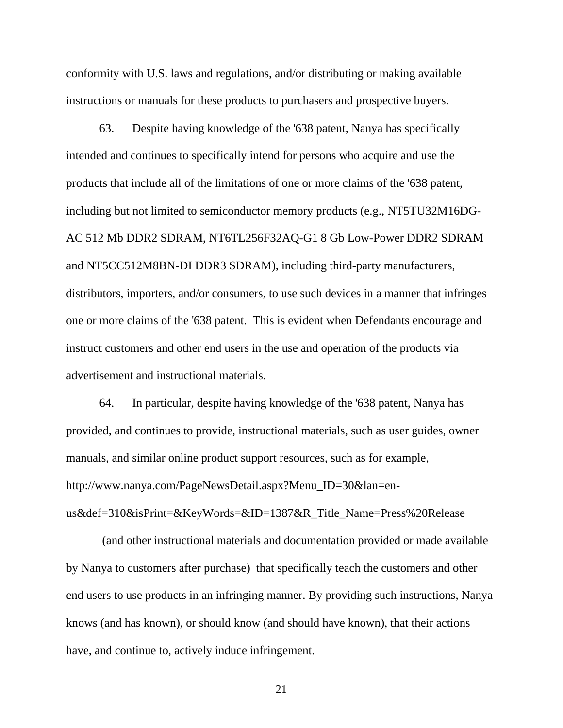conformity with U.S. laws and regulations, and/or distributing or making available instructions or manuals for these products to purchasers and prospective buyers.

63. Despite having knowledge of the '638 patent, Nanya has specifically intended and continues to specifically intend for persons who acquire and use the products that include all of the limitations of one or more claims of the '638 patent, including but not limited to semiconductor memory products (e.g., NT5TU32M16DG-AC 512 Mb DDR2 SDRAM, NT6TL256F32AQ-G1 8 Gb Low-Power DDR2 SDRAM and NT5CC512M8BN-DI DDR3 SDRAM), including third-party manufacturers, distributors, importers, and/or consumers, to use such devices in a manner that infringes one or more claims of the '638 patent. This is evident when Defendants encourage and instruct customers and other end users in the use and operation of the products via advertisement and instructional materials.

64. In particular, despite having knowledge of the '638 patent, Nanya has provided, and continues to provide, instructional materials, such as user guides, owner manuals, and similar online product support resources, such as for example, http://www.nanya.com/PageNewsDetail.aspx?Menu\_ID=30&lan=enus&def=310&isPrint=&KeyWords=&ID=1387&R\_Title\_Name=Press%20Release

 (and other instructional materials and documentation provided or made available by Nanya to customers after purchase) that specifically teach the customers and other end users to use products in an infringing manner. By providing such instructions, Nanya knows (and has known), or should know (and should have known), that their actions have, and continue to, actively induce infringement.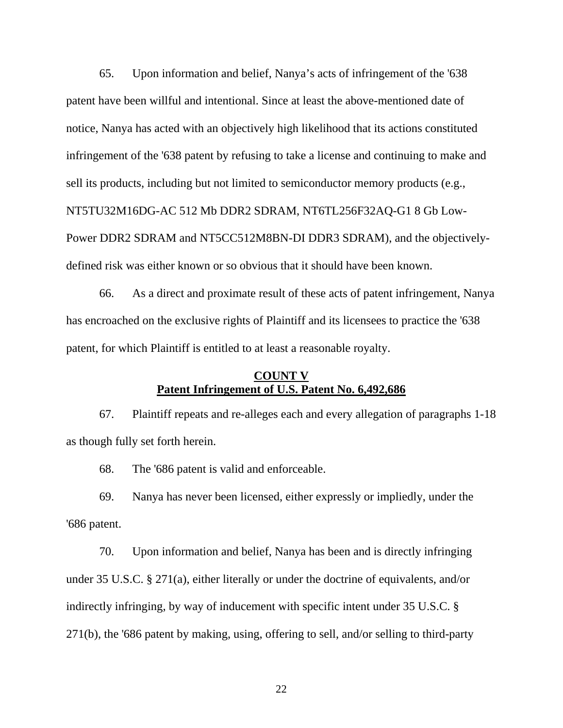65. Upon information and belief, Nanya's acts of infringement of the '638 patent have been willful and intentional. Since at least the above-mentioned date of notice, Nanya has acted with an objectively high likelihood that its actions constituted infringement of the '638 patent by refusing to take a license and continuing to make and sell its products, including but not limited to semiconductor memory products (e.g., NT5TU32M16DG-AC 512 Mb DDR2 SDRAM, NT6TL256F32AQ-G1 8 Gb Low-Power DDR2 SDRAM and NT5CC512M8BN-DI DDR3 SDRAM), and the objectivelydefined risk was either known or so obvious that it should have been known.

66. As a direct and proximate result of these acts of patent infringement, Nanya has encroached on the exclusive rights of Plaintiff and its licensees to practice the '638 patent, for which Plaintiff is entitled to at least a reasonable royalty.

# **COUNT V Patent Infringement of U.S. Patent No. 6,492,686**

67. Plaintiff repeats and re-alleges each and every allegation of paragraphs 1-18 as though fully set forth herein.

68. The '686 patent is valid and enforceable.

69. Nanya has never been licensed, either expressly or impliedly, under the '686 patent.

70. Upon information and belief, Nanya has been and is directly infringing under 35 U.S.C. § 271(a), either literally or under the doctrine of equivalents, and/or indirectly infringing, by way of inducement with specific intent under 35 U.S.C. § 271(b), the '686 patent by making, using, offering to sell, and/or selling to third-party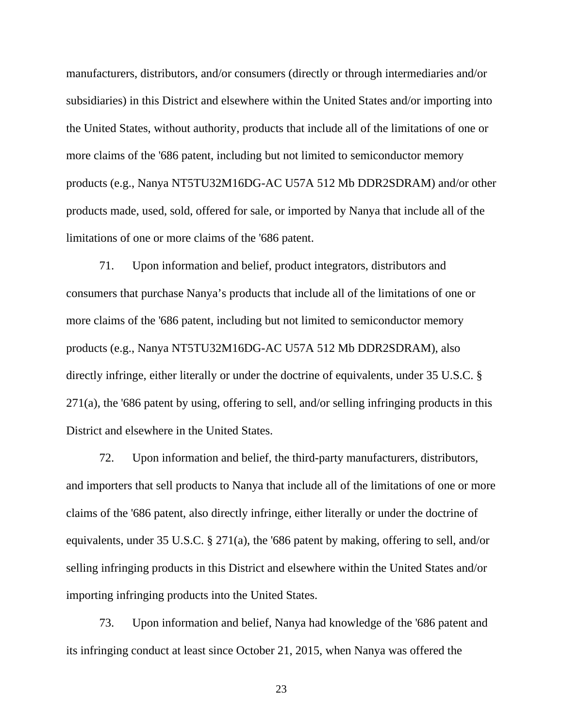manufacturers, distributors, and/or consumers (directly or through intermediaries and/or subsidiaries) in this District and elsewhere within the United States and/or importing into the United States, without authority, products that include all of the limitations of one or more claims of the '686 patent, including but not limited to semiconductor memory products (e.g., Nanya NT5TU32M16DG-AC U57A 512 Mb DDR2SDRAM) and/or other products made, used, sold, offered for sale, or imported by Nanya that include all of the limitations of one or more claims of the '686 patent.

71. Upon information and belief, product integrators, distributors and consumers that purchase Nanya's products that include all of the limitations of one or more claims of the '686 patent, including but not limited to semiconductor memory products (e.g., Nanya NT5TU32M16DG-AC U57A 512 Mb DDR2SDRAM), also directly infringe, either literally or under the doctrine of equivalents, under 35 U.S.C. § 271(a), the '686 patent by using, offering to sell, and/or selling infringing products in this District and elsewhere in the United States.

72. Upon information and belief, the third-party manufacturers, distributors, and importers that sell products to Nanya that include all of the limitations of one or more claims of the '686 patent, also directly infringe, either literally or under the doctrine of equivalents, under 35 U.S.C. § 271(a), the '686 patent by making, offering to sell, and/or selling infringing products in this District and elsewhere within the United States and/or importing infringing products into the United States.

73. Upon information and belief, Nanya had knowledge of the '686 patent and its infringing conduct at least since October 21, 2015, when Nanya was offered the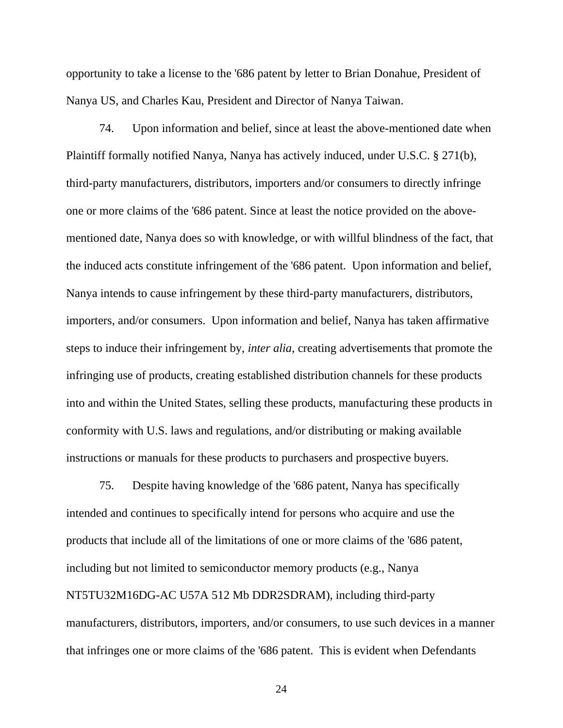opportunity to take a license to the '686 patent by letter to Brian Donahue, President of Nanya US, and Charles Kau, President and Director of Nanya Taiwan.

74. Upon information and belief, since at least the above-mentioned date when Plaintiff formally notified Nanya, Nanya has actively induced, under U.S.C. § 271(b), third-party manufacturers, distributors, importers and/or consumers to directly infringe one or more claims of the '686 patent. Since at least the notice provided on the abovementioned date, Nanya does so with knowledge, or with willful blindness of the fact, that the induced acts constitute infringement of the '686 patent. Upon information and belief, Nanya intends to cause infringement by these third-party manufacturers, distributors, importers, and/or consumers. Upon information and belief, Nanya has taken affirmative steps to induce their infringement by, *inter alia*, creating advertisements that promote the infringing use of products, creating established distribution channels for these products into and within the United States, selling these products, manufacturing these products in conformity with U.S. laws and regulations, and/or distributing or making available instructions or manuals for these products to purchasers and prospective buyers.

75. Despite having knowledge of the '686 patent, Nanya has specifically intended and continues to specifically intend for persons who acquire and use the products that include all of the limitations of one or more claims of the '686 patent, including but not limited to semiconductor memory products (e.g., Nanya NT5TU32M16DG-AC U57A 512 Mb DDR2SDRAM), including third-party manufacturers, distributors, importers, and/or consumers, to use such devices in a manner that infringes one or more claims of the '686 patent. This is evident when Defendants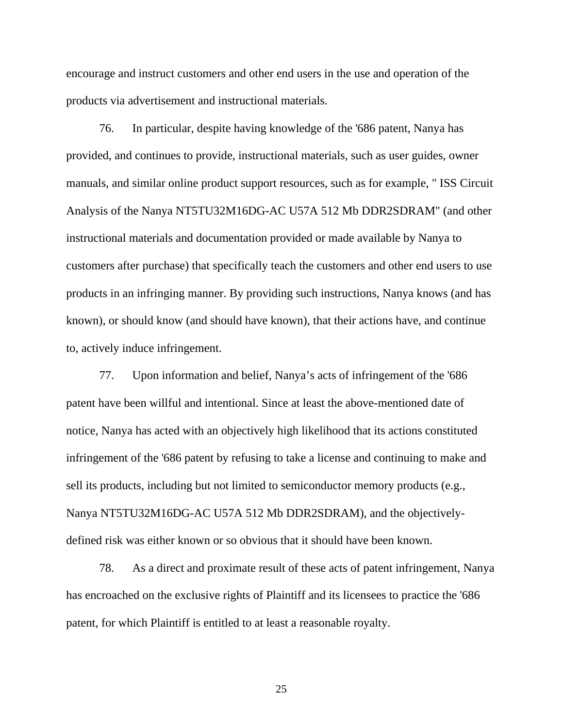encourage and instruct customers and other end users in the use and operation of the products via advertisement and instructional materials.

76. In particular, despite having knowledge of the '686 patent, Nanya has provided, and continues to provide, instructional materials, such as user guides, owner manuals, and similar online product support resources, such as for example, " ISS Circuit Analysis of the Nanya NT5TU32M16DG-AC U57A 512 Mb DDR2SDRAM" (and other instructional materials and documentation provided or made available by Nanya to customers after purchase) that specifically teach the customers and other end users to use products in an infringing manner. By providing such instructions, Nanya knows (and has known), or should know (and should have known), that their actions have, and continue to, actively induce infringement.

77. Upon information and belief, Nanya's acts of infringement of the '686 patent have been willful and intentional. Since at least the above-mentioned date of notice, Nanya has acted with an objectively high likelihood that its actions constituted infringement of the '686 patent by refusing to take a license and continuing to make and sell its products, including but not limited to semiconductor memory products (e.g., Nanya NT5TU32M16DG-AC U57A 512 Mb DDR2SDRAM), and the objectivelydefined risk was either known or so obvious that it should have been known.

78. As a direct and proximate result of these acts of patent infringement, Nanya has encroached on the exclusive rights of Plaintiff and its licensees to practice the '686 patent, for which Plaintiff is entitled to at least a reasonable royalty.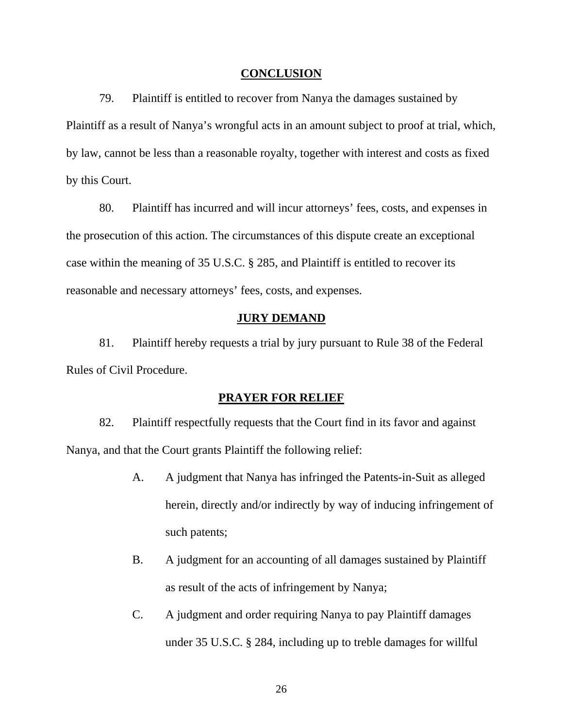## **CONCLUSION**

79. Plaintiff is entitled to recover from Nanya the damages sustained by Plaintiff as a result of Nanya's wrongful acts in an amount subject to proof at trial, which, by law, cannot be less than a reasonable royalty, together with interest and costs as fixed by this Court.

80. Plaintiff has incurred and will incur attorneys' fees, costs, and expenses in the prosecution of this action. The circumstances of this dispute create an exceptional case within the meaning of 35 U.S.C. § 285, and Plaintiff is entitled to recover its reasonable and necessary attorneys' fees, costs, and expenses.

## **JURY DEMAND**

81. Plaintiff hereby requests a trial by jury pursuant to Rule 38 of the Federal Rules of Civil Procedure.

#### **PRAYER FOR RELIEF**

82. Plaintiff respectfully requests that the Court find in its favor and against Nanya, and that the Court grants Plaintiff the following relief:

- A. A judgment that Nanya has infringed the Patents-in-Suit as alleged herein, directly and/or indirectly by way of inducing infringement of such patents;
- B. A judgment for an accounting of all damages sustained by Plaintiff as result of the acts of infringement by Nanya;
- C. A judgment and order requiring Nanya to pay Plaintiff damages under 35 U.S.C. § 284, including up to treble damages for willful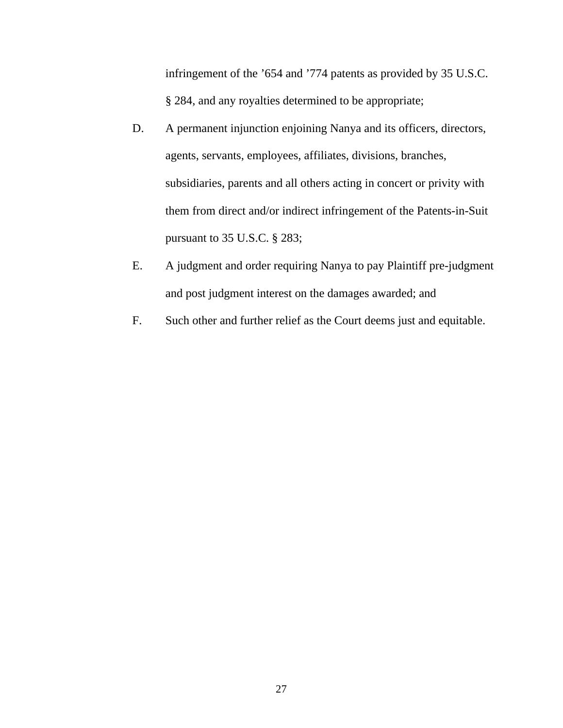infringement of the '654 and '774 patents as provided by 35 U.S.C. § 284, and any royalties determined to be appropriate;

- D. A permanent injunction enjoining Nanya and its officers, directors, agents, servants, employees, affiliates, divisions, branches, subsidiaries, parents and all others acting in concert or privity with them from direct and/or indirect infringement of the Patents-in-Suit pursuant to 35 U.S.C. § 283;
- E. A judgment and order requiring Nanya to pay Plaintiff pre-judgment and post judgment interest on the damages awarded; and
- F. Such other and further relief as the Court deems just and equitable.